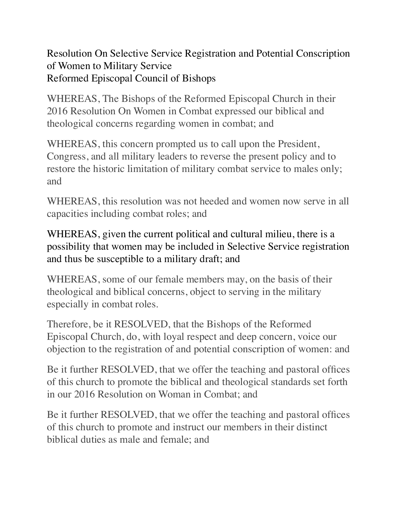Resolution On Selective Service Registration and Potential Conscription of Women to Military Service Reformed Episcopal Council of Bishops

WHEREAS, The Bishops of the Reformed Episcopal Church in their 2016 Resolution On Women in Combat expressed our biblical and theological concerns regarding women in combat; and

WHEREAS, this concern prompted us to call upon the President, Congress, and all military leaders to reverse the present policy and to restore the historic limitation of military combat service to males only; and

WHEREAS, this resolution was not heeded and women now serve in all capacities including combat roles; and

WHEREAS, given the current political and cultural milieu, there is a possibility that women may be included in Selective Service registration and thus be susceptible to a military draft; and

WHEREAS, some of our female members may, on the basis of their theological and biblical concerns, object to serving in the military especially in combat roles.

Therefore, be it RESOLVED, that the Bishops of the Reformed Episcopal Church, do, with loyal respect and deep concern, voice our objection to the registration of and potential conscription of women: and

Be it further RESOLVED, that we offer the teaching and pastoral offices of this church to promote the biblical and theological standards set forth in our 2016 Resolution on Woman in Combat; and

Be it further RESOLVED, that we offer the teaching and pastoral offices of this church to promote and instruct our members in their distinct biblical duties as male and female; and